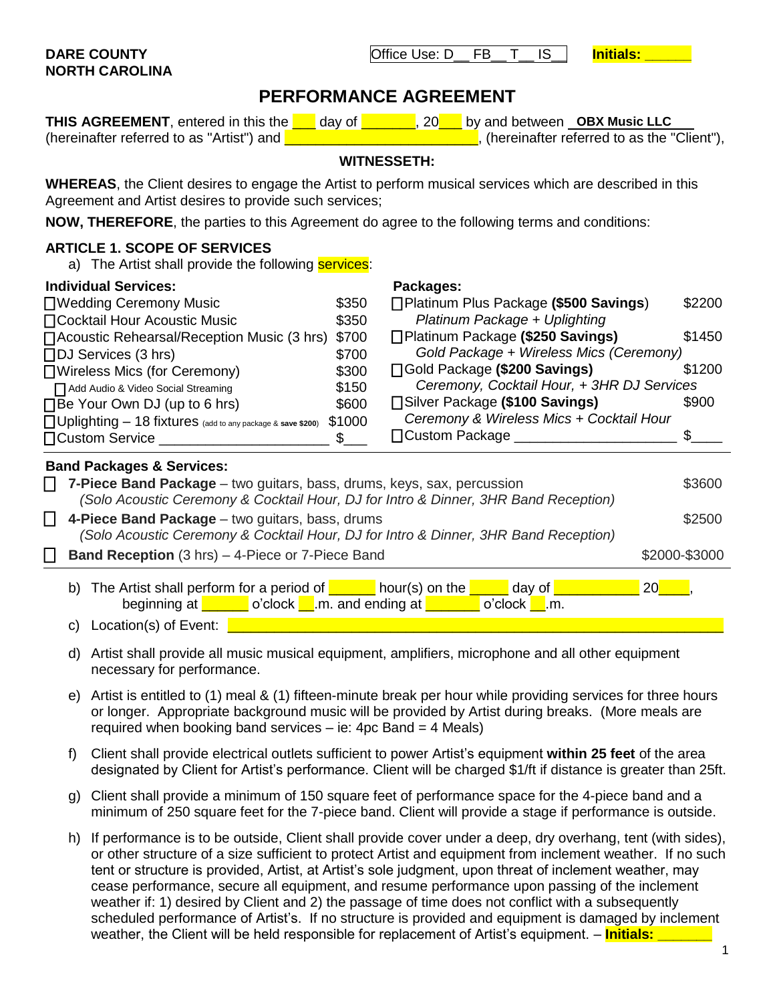|    | <b>7-Piece Band Package</b> – two guitars, bass, drums, keys, sax, percussion                                    | \$3600                                                                                                                                                                                                                                                                                                                                                                                                                                                                                                                                                                                                                                                                                                                                                                                                                                                                                                                                                                                                                                                                                                                                                                                                                                                                                                                                                                                                                                                                                                                                                                                                                                                                                                                                                                                                                                                                                                                                                                                             |
|----|------------------------------------------------------------------------------------------------------------------|----------------------------------------------------------------------------------------------------------------------------------------------------------------------------------------------------------------------------------------------------------------------------------------------------------------------------------------------------------------------------------------------------------------------------------------------------------------------------------------------------------------------------------------------------------------------------------------------------------------------------------------------------------------------------------------------------------------------------------------------------------------------------------------------------------------------------------------------------------------------------------------------------------------------------------------------------------------------------------------------------------------------------------------------------------------------------------------------------------------------------------------------------------------------------------------------------------------------------------------------------------------------------------------------------------------------------------------------------------------------------------------------------------------------------------------------------------------------------------------------------------------------------------------------------------------------------------------------------------------------------------------------------------------------------------------------------------------------------------------------------------------------------------------------------------------------------------------------------------------------------------------------------------------------------------------------------------------------------------------------------|
|    |                                                                                                                  | \$2500                                                                                                                                                                                                                                                                                                                                                                                                                                                                                                                                                                                                                                                                                                                                                                                                                                                                                                                                                                                                                                                                                                                                                                                                                                                                                                                                                                                                                                                                                                                                                                                                                                                                                                                                                                                                                                                                                                                                                                                             |
|    |                                                                                                                  | \$2000-\$3000                                                                                                                                                                                                                                                                                                                                                                                                                                                                                                                                                                                                                                                                                                                                                                                                                                                                                                                                                                                                                                                                                                                                                                                                                                                                                                                                                                                                                                                                                                                                                                                                                                                                                                                                                                                                                                                                                                                                                                                      |
|    | day of<br>beginning at <b>confluential</b> o'clock <b>n</b> .m. and ending at <b>network</b><br>$o'clock$ ___.m. | 20 <sup>°</sup>                                                                                                                                                                                                                                                                                                                                                                                                                                                                                                                                                                                                                                                                                                                                                                                                                                                                                                                                                                                                                                                                                                                                                                                                                                                                                                                                                                                                                                                                                                                                                                                                                                                                                                                                                                                                                                                                                                                                                                                    |
| C) | Location(s) of Event:                                                                                            |                                                                                                                                                                                                                                                                                                                                                                                                                                                                                                                                                                                                                                                                                                                                                                                                                                                                                                                                                                                                                                                                                                                                                                                                                                                                                                                                                                                                                                                                                                                                                                                                                                                                                                                                                                                                                                                                                                                                                                                                    |
| d) | necessary for performance.                                                                                       |                                                                                                                                                                                                                                                                                                                                                                                                                                                                                                                                                                                                                                                                                                                                                                                                                                                                                                                                                                                                                                                                                                                                                                                                                                                                                                                                                                                                                                                                                                                                                                                                                                                                                                                                                                                                                                                                                                                                                                                                    |
| e) | required when booking band services $-$ ie: 4pc Band = 4 Meals)                                                  |                                                                                                                                                                                                                                                                                                                                                                                                                                                                                                                                                                                                                                                                                                                                                                                                                                                                                                                                                                                                                                                                                                                                                                                                                                                                                                                                                                                                                                                                                                                                                                                                                                                                                                                                                                                                                                                                                                                                                                                                    |
| f  |                                                                                                                  |                                                                                                                                                                                                                                                                                                                                                                                                                                                                                                                                                                                                                                                                                                                                                                                                                                                                                                                                                                                                                                                                                                                                                                                                                                                                                                                                                                                                                                                                                                                                                                                                                                                                                                                                                                                                                                                                                                                                                                                                    |
| g) |                                                                                                                  |                                                                                                                                                                                                                                                                                                                                                                                                                                                                                                                                                                                                                                                                                                                                                                                                                                                                                                                                                                                                                                                                                                                                                                                                                                                                                                                                                                                                                                                                                                                                                                                                                                                                                                                                                                                                                                                                                                                                                                                                    |
| h) |                                                                                                                  |                                                                                                                                                                                                                                                                                                                                                                                                                                                                                                                                                                                                                                                                                                                                                                                                                                                                                                                                                                                                                                                                                                                                                                                                                                                                                                                                                                                                                                                                                                                                                                                                                                                                                                                                                                                                                                                                                                                                                                                                    |
|    |                                                                                                                  | (Solo Acoustic Ceremony & Cocktail Hour, DJ for Intro & Dinner, 3HR Band Reception)<br>4-Piece Band Package - two guitars, bass, drums<br>(Solo Acoustic Ceremony & Cocktail Hour, DJ for Intro & Dinner, 3HR Band Reception)<br><b>Band Reception</b> (3 hrs) - 4-Piece or 7-Piece Band<br>b) The Artist shall perform for a period of $\sqrt{\phantom{a_{16}}\phantom{a_{16}}\phantom{a_{16}}\!}$ hour(s) on the $\sqrt{\phantom{a_{16}}\phantom{a_{16}}\!}$<br>Artist shall provide all music musical equipment, amplifiers, microphone and all other equipment<br>Artist is entitled to (1) meal & (1) fifteen-minute break per hour while providing services for three hours<br>or longer. Appropriate background music will be provided by Artist during breaks. (More meals are<br>Client shall provide electrical outlets sufficient to power Artist's equipment within 25 feet of the area<br>designated by Client for Artist's performance. Client will be charged \$1/ft if distance is greater than 25ft<br>Client shall provide a minimum of 150 square feet of performance space for the 4-piece band and a<br>minimum of 250 square feet for the 7-piece band. Client will provide a stage if performance is outside.<br>If performance is to be outside, Client shall provide cover under a deep, dry overhang, tent (with sides)<br>or other structure of a size sufficient to protect Artist and equipment from inclement weather. If no such<br>tent or structure is provided, Artist, at Artist's sole judgment, upon threat of inclement weather, may<br>cease performance, secure all equipment, and resume performance upon passing of the inclement<br>weather if: 1) desired by Client and 2) the passage of time does not conflict with a subsequently<br>scheduled performance of Artist's. If no structure is provided and equipment is damaged by inclement<br>weather, the Client will be held responsible for replacement of Artist's equipment. - <i>Initials:</i> |

## **WHEREAS**, the Client desires to engage the Artist to perform musical services which are described in this Agreement and Artist desires to provide such services;

**NOW, THEREFORE**, the parties to this Agreement do agree to the following terms and conditions:

# **ARTICLE 1. SCOPE OF SERVICES**

**Individual Services:**

a) The Artist shall provide the following **services**:

| □ Wedding Ceremony Music                                                                                                                                                       | \$350  | □Platinum Plus Package (\$500 Savings)     | \$2200      |  |  |
|--------------------------------------------------------------------------------------------------------------------------------------------------------------------------------|--------|--------------------------------------------|-------------|--|--|
| □ Cocktail Hour Acoustic Music                                                                                                                                                 | \$350  | Platinum Package + Uplighting              |             |  |  |
| □ Acoustic Rehearsal/Reception Music (3 hrs) \$700                                                                                                                             |        | □Platinum Package (\$250 Savings)          | \$1450      |  |  |
| $\Box$ DJ Services (3 hrs)                                                                                                                                                     | \$700  | Gold Package + Wireless Mics (Ceremony)    |             |  |  |
| □ Wireless Mics (for Ceremony)                                                                                                                                                 | \$300  | □ Gold Package (\$200 Savings)             | \$1200      |  |  |
| Add Audio & Video Social Streaming                                                                                                                                             | \$150  | Ceremony, Cocktail Hour, + 3HR DJ Services |             |  |  |
| $\Box$ Be Your Own DJ (up to 6 hrs)                                                                                                                                            | \$600  | □Silver Package (\$100 Savings)            | \$900       |  |  |
| □ Uplighting - 18 fixtures (add to any package & save \$200)                                                                                                                   | \$1000 | Ceremony & Wireless Mics + Cocktail Hour   |             |  |  |
| □ Custom Service                                                                                                                                                               | \$.    | □ Custom Package                           |             |  |  |
| <b>Band Packages &amp; Services:</b>                                                                                                                                           |        |                                            |             |  |  |
| <b>7-Piece Band Package</b> – two guitars, bass, drums, keys, sax, percussion<br>$\Box$<br>(Solo Acoustic Ceremony & Cocktail Hour, DJ for Intro & Dinner, 3HR Band Reception) |        |                                            |             |  |  |
| 4-Piece Band Package - two guitars, bass, drums<br>\$2500<br>(Solo Acoustic Ceremony & Cocktail Hour, DJ for Intro & Dinner, 3HR Band Reception)                               |        |                                            |             |  |  |
| $\Box$ Beat Becombin (Objet) of Black and Black Beat                                                                                                                           |        |                                            | maaan maana |  |  |

- e) Artist is entitled to (1) meal & (1) fifteen-minute break per hour while providing services for three hours
- designated by Client for Artist's performance. Client will be charged \$1/ft if distance is greater than 25ft.
- 
- h) If performance is to be outside, Client shall provide cover under a deep, dry overhang, tent (with sides), or other structure of a size sufficient to protect Artist and equipment from inclement weather. If no such scheduled performance of Artist's. If no structure is provided and equipment is damaged by inclement

# **PERFORMANCE AGREEMENT**

**THIS AGREEMENT**, entered in this the **example 20 per generom** and between **OBX Music LLC** (hereinafter referred to as "Artist") and  $\Box$   $\Box$   $\Box$   $\Box$   $\Box$   $\Box$  (hereinafter referred to as the "Client"),

# **WITNESSETH:**

**Packages:**

## **DARE COUNTY** DARE COUNTY DESCRIPTION Office Use: D\_\_ FB\_\_ T\_\_ IS\_\_ **Initials: \_\_\_ NORTH CAROLINA**

1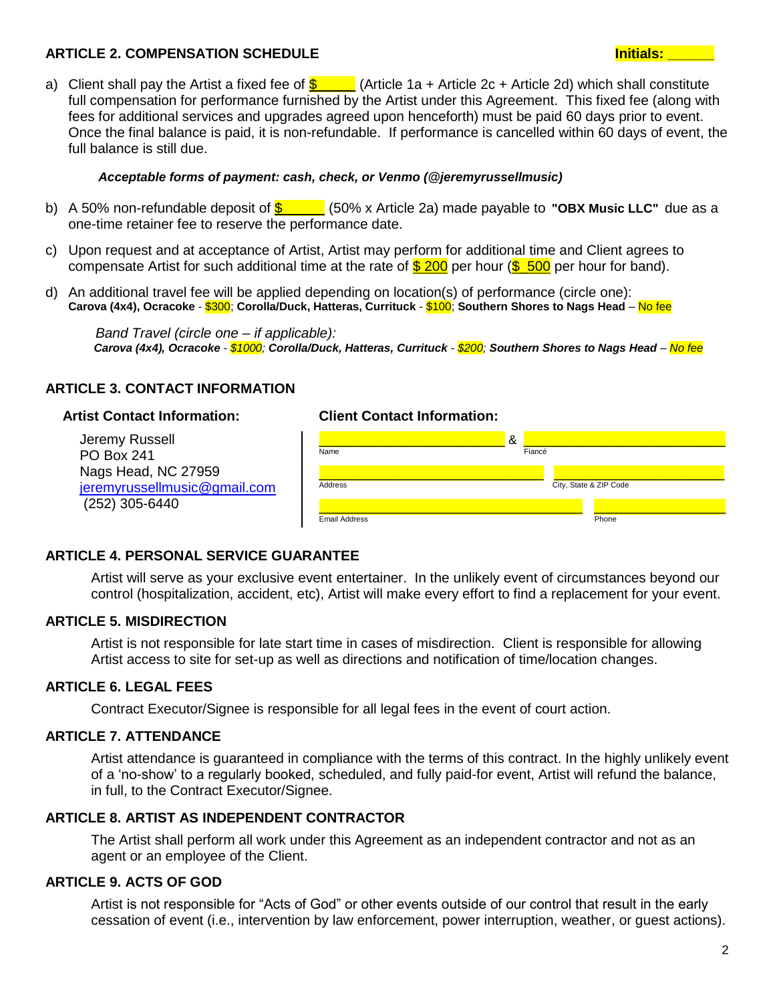## **ARTICLE 2. COMPENSATION SCHEDULE Initials: \_\_\_\_\_\_**

a) Client shall pay the Artist a fixed fee of  $\frac{1}{2}$  (Article 1a + Article 2c + Article 2d) which shall constitute full compensation for performance furnished by the Artist under this Agreement. This fixed fee (along with fees for additional services and upgrades agreed upon henceforth) must be paid 60 days prior to event. Once the final balance is paid, it is non-refundable. If performance is cancelled within 60 days of event, the full balance is still due.

#### *Acceptable forms of payment: cash (\$100 discount), check, or Venmo (@jeremyrussellmusic) Acceptable forms of payment: cash, check, or Venmo (@jeremyrussellmusic)*

- b) A 50% non-refundable deposit of  $\frac{2}{5}$  (50% x Article 2a) made payable to "OBX Music LLC" due as a one-time retainer fee to reserve the performance date.
- c) Upon request and at acceptance of Artist, Artist may perform for additional time and Client agrees to compensate Artist for such additional time at the rate of  $$200$  per hour ( $$500$  per hour for band).
- d) An additional travel fee will be applied depending on location(s) of performance (circle one): **Carova (4x4), Ocracoke** - \$300; **Corolla/Duck, Hatteras, Currituck** - \$100; **Southern Shores to Nags Head** – No fee

 *Band Travel (circle one – if applicable): Carova (4x4), Ocracoke - \$1000; Corolla/Duck, Hatteras, Currituck - \$200; Southern Shores to Nags Head – No fee*

### **ARTICLE 3. CONTACT INFORMATION**

Jeremy Russell PO Box 241 Nags Head, NC 27959 [jeremyrussellmusic@gmail.com](mailto:jeremyrussellmusic@gmail.com) (252) 305-6440



| Name                 | &<br>Fiancé            |  |
|----------------------|------------------------|--|
| Address              | City, State & ZIP Code |  |
| <b>Email Address</b> | Phone                  |  |

### **ARTICLE 4. PERSONAL SERVICE GUARANTEE**

Artist will serve as your exclusive event entertainer. In the unlikely event of circumstances beyond our control (hospitalization, accident, etc), Artist will make every effort to find a replacement for your event.

#### **ARTICLE 5. MISDIRECTION**

Artist is not responsible for late start time in cases of misdirection. Client is responsible for allowing Artist access to site for set-up as well as directions and notification of time/location changes.

### **ARTICLE 6. LEGAL FEES**

Contract Executor/Signee is responsible for all legal fees in the event of court action.

### **ARTICLE 7. ATTENDANCE**

Artist attendance is guaranteed in compliance with the terms of this contract. In the highly unlikely event of a 'no-show' to a regularly booked, scheduled, and fully paid-for event, Artist will refund the balance, in full, to the Contract Executor/Signee.

### **ARTICLE 8. ARTIST AS INDEPENDENT CONTRACTOR**

The Artist shall perform all work under this Agreement as an independent contractor and not as an agent or an employee of the Client.

### **ARTICLE 9. ACTS OF GOD**

Artist is not responsible for "Acts of God" or other events outside of our control that result in the early cessation of event (i.e., intervention by law enforcement, power interruption, weather, or guest actions).